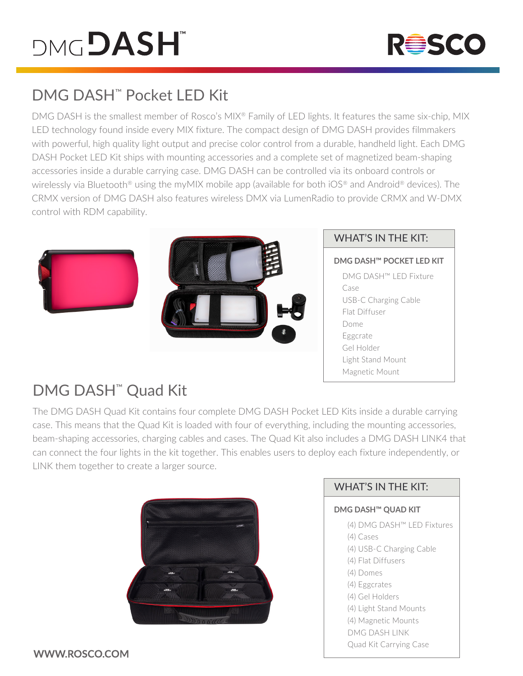# **DMGDASH**



## DMG DASH™ Pocket LED Kit

DMG DASH is the smallest member of Rosco's MIX<sup>®</sup> Family of LED lights. It features the same six-chip, MIX LED technology found inside every MIX fixture. The compact design of DMG DASH provides filmmakers with powerful, high quality light output and precise color control from a durable, handheld light. Each DMG DASH Pocket LED Kit ships with mounting accessories and a complete set of magnetized beam-shaping accessories inside a durable carrying case. DMG DASH can be controlled via its onboard controls or wirelessly via Bluetooth<sup>®</sup> using the myMIX mobile app (available for both iOS<sup>®</sup> and Android<sup>®</sup> devices). The CRMX version of DMG DASH also features wireless DMX via LumenRadio to provide CRMX and W-DMX control with RDM capability.





#### WHAT'S IN THE KIT:

**DMG DASH™ POCKET LED KIT** DMG DASH™ LED Fixture Case USB-C Charging Cable Flat Diffuser Dome Eggcrate Gel Holder Light Stand Mount Magnetic Mount

## DMG DASH™ Quad Kit

The DMG DASH Quad Kit contains four complete DMG DASH Pocket LED Kits inside a durable carrying case. This means that the Quad Kit is loaded with four of everything, including the mounting accessories, beam-shaping accessories, charging cables and cases. The Quad Kit also includes a DMG DASH LINK4 that can connect the four lights in the kit together. This enables users to deploy each fixture independently, or LINK them together to create a larger source.



### WHAT'S IN THE KIT:

#### **DMG DASH™ QUAD KIT**

- (4) DMG DASH™ LED Fixtures
- (4) Cases
- (4) USB-C Charging Cable
- (4) Flat Diffusers
- (4) Domes
- (4) Eggcrates
- (4) Gel Holders
- (4) Light Stand Mounts
- (4) Magnetic Mounts
- DMG DASH LINK
- Quad Kit Carrying Case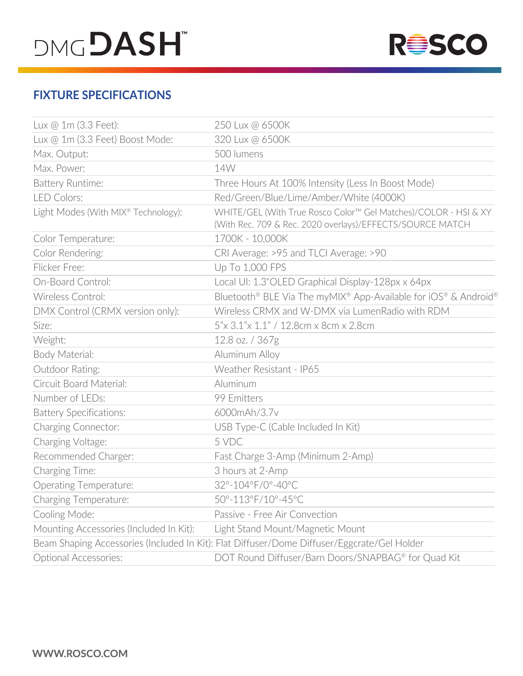# **DMGDASH**



### **FIXTURE SPECIFICATIONS**

| Lux @ 1m (3.3 Feet):                            | 250 Lux @ 6500K                                                                                                              |
|-------------------------------------------------|------------------------------------------------------------------------------------------------------------------------------|
| Lux @ 1m (3.3 Feet) Boost Mode:                 | 320 Lux @ 6500K                                                                                                              |
| Max. Output:                                    | 500 lumens                                                                                                                   |
| Max. Power:                                     | 14W                                                                                                                          |
| <b>Battery Runtime:</b>                         | Three Hours At 100% Intensity (Less In Boost Mode)                                                                           |
| <b>LED Colors:</b>                              | Red/Green/Blue/Lime/Amber/White (4000K)                                                                                      |
| Light Modes (With MIX <sup>®</sup> Technology): | WHITE/GEL (With True Rosco Color™ Gel Matches)/COLOR - HSI & XY<br>(With Rec. 709 & Rec. 2020 overlays)/EFFECTS/SOURCE MATCH |
| Color Temperature:                              | 1700K - 10,000K                                                                                                              |
| Color Rendering:                                | CRI Average: >95 and TLCI Average: >90                                                                                       |
| Flicker Free:                                   | Up To 1,000 FPS                                                                                                              |
| On-Board Control:                               | Local UI: 1.3"OLED Graphical Display-128px x 64px                                                                            |
| Wireless Control:                               | Bluetooth® BLE Via The myMIX® App-Available for iOS® & Android®                                                              |
| DMX Control (CRMX version only):                | Wireless CRMX and W-DMX via LumenRadio with RDM                                                                              |
| Size:                                           | 5"x 3.1"x 1.1" / 12.8cm x 8cm x 2.8cm                                                                                        |
| Weight:                                         | 12.8 oz. / 367g                                                                                                              |
| Body Material:                                  | Aluminum Alloy                                                                                                               |
| Outdoor Rating:                                 | Weather Resistant - IP65                                                                                                     |
| Circuit Board Material:                         | Aluminum                                                                                                                     |
| Number of LEDs:                                 | 99 Emitters                                                                                                                  |
| <b>Battery Specifications:</b>                  | 6000mAh/3.7v                                                                                                                 |
| Charging Connector:                             | USB Type-C (Cable Included In Kit)                                                                                           |
| Charging Voltage:                               | 5 VDC                                                                                                                        |
| Recommended Charger:                            | Fast Charge 3-Amp (Minimum 2-Amp)                                                                                            |
| Charging Time:                                  | 3 hours at 2-Amp                                                                                                             |
| <b>Operating Temperature:</b>                   | 32°-104°F/0°-40°C                                                                                                            |
| Charging Temperature:                           | 50°-113°F/10°-45°C                                                                                                           |
| Cooling Mode:                                   | Passive - Free Air Convection                                                                                                |
| Mounting Accessories (Included In Kit):         | Light Stand Mount/Magnetic Mount                                                                                             |
|                                                 | Beam Shaping Accessories (Included In Kit): Flat Diffuser/Dome Diffuser/Eggcrate/Gel Holder                                  |
| <b>Optional Accessories:</b>                    | DOT Round Diffuser/Barn Doors/SNAPBAG® for Quad Kit                                                                          |